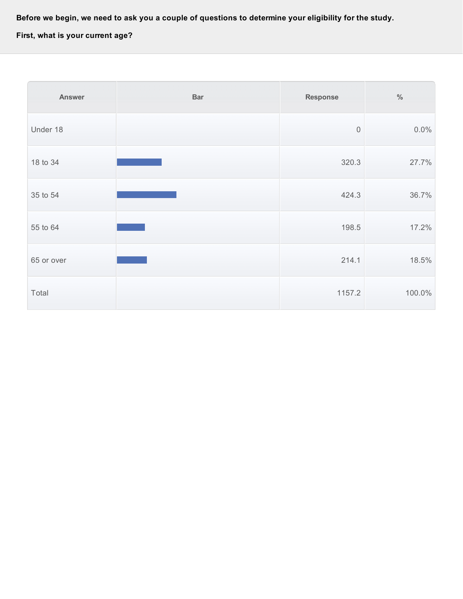Before we begin, we need to ask you a couple of questions to determine your eligibility for the study.

**First, what is your current age?**

| <b>Answer</b> | <b>Bar</b> | <b>Response</b> | $\%$   |
|---------------|------------|-----------------|--------|
| Under 18      |            | $\mathbf 0$     | 0.0%   |
| 18 to 34      |            | 320.3           | 27.7%  |
| 35 to 54      |            | 424.3           | 36.7%  |
| 55 to 64      |            | 198.5           | 17.2%  |
| 65 or over    |            | 214.1           | 18.5%  |
| Total         |            | 1157.2          | 100.0% |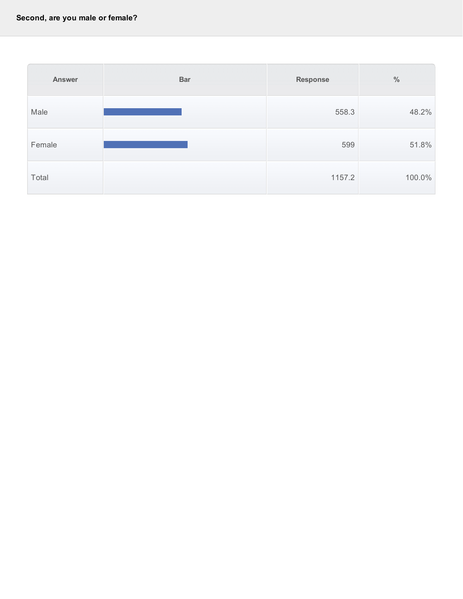| <b>Answer</b> | <b>Bar</b> | <b>Response</b> | $\frac{0}{0}$ |
|---------------|------------|-----------------|---------------|
| Male          |            | 558.3           | 48.2%         |
| Female        |            | 599             | 51.8%         |
| Total         |            | 1157.2          | 100.0%        |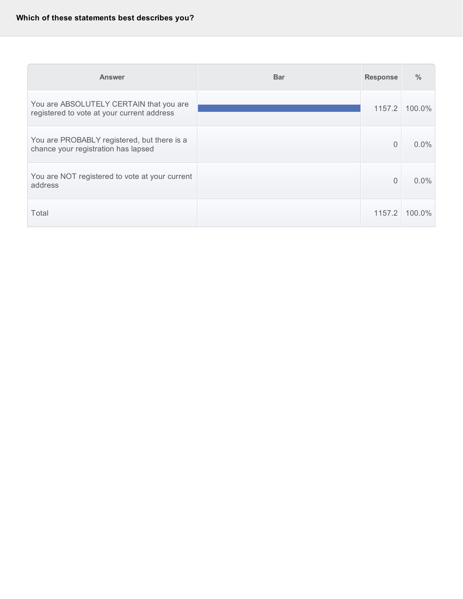# **Which of these statements best describes you?**

| <b>Answer</b>                                                                         | <b>Bar</b> | <b>Response</b> | $\frac{0}{0}$ |
|---------------------------------------------------------------------------------------|------------|-----------------|---------------|
| You are ABSOLUTELY CERTAIN that you are<br>registered to vote at your current address |            | 1157.2          | 100.0%        |
| You are PROBABLY registered, but there is a<br>chance your registration has lapsed    |            | $\Omega$        | $0.0\%$       |
| You are NOT registered to vote at your current<br>address                             |            | $\Omega$        | $0.0\%$       |
| Total                                                                                 |            | 1157.2          | $100.0\%$     |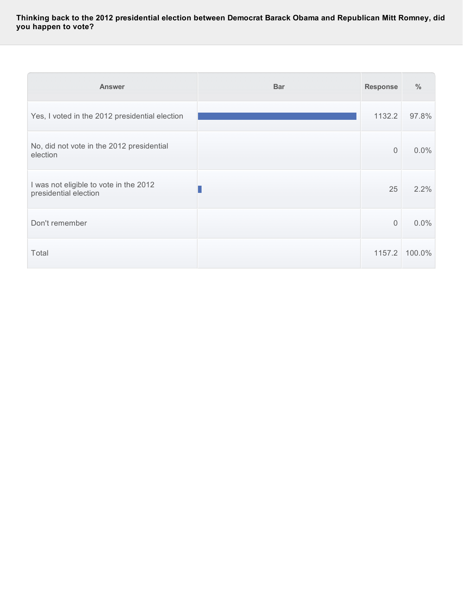**Thinking back to the 2012 presidential election between Democrat Barack Obama and Republican Mitt Romney, did you happen to vote?**

| <b>Answer</b>                                                   | <b>Bar</b> | <b>Response</b> | $\frac{0}{0}$ |
|-----------------------------------------------------------------|------------|-----------------|---------------|
| Yes, I voted in the 2012 presidential election                  |            | 1132.2          | 97.8%         |
| No, did not vote in the 2012 presidential<br>election           |            | $\mathbf 0$     | 0.0%          |
| I was not eligible to vote in the 2012<br>presidential election |            | 25              | 2.2%          |
| Don't remember                                                  |            | $\overline{0}$  | 0.0%          |
| Total                                                           |            | 1157.2          | 100.0%        |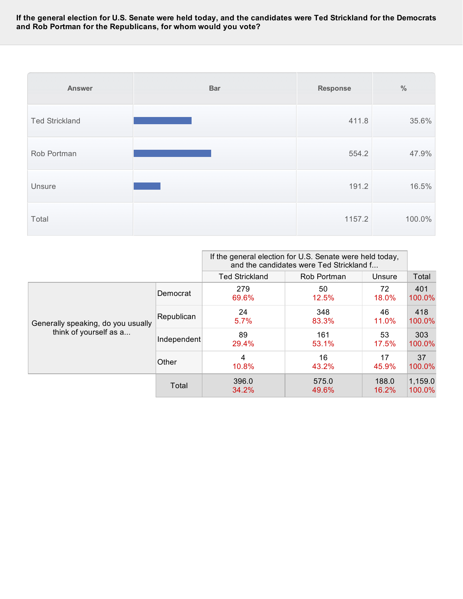If the general election for U.S. Senate were held today, and the candidates were Ted Strickland for the Democrats **and Rob Portman for the Republicans, for whom would you vote?**

| <b>Answer</b>         | <b>Bar</b> | <b>Response</b> | $\%$   |
|-----------------------|------------|-----------------|--------|
| <b>Ted Strickland</b> |            | 411.8           | 35.6%  |
| Rob Portman           |            | 554.2           | 47.9%  |
| Unsure                |            | 191.2           | 16.5%  |
| Total                 |            | 1157.2          | 100.0% |

|                                                              |             | If the general election for U.S. Senate were held today,<br>and the candidates were Ted Strickland f |                |                |                   |
|--------------------------------------------------------------|-------------|------------------------------------------------------------------------------------------------------|----------------|----------------|-------------------|
|                                                              |             | <b>Ted Strickland</b>                                                                                | Rob Portman    | Unsure         | Total             |
|                                                              | Democrat    | 279<br>69.6%                                                                                         | 50<br>12.5%    | 72<br>18.0%    | 401<br>100.0%     |
| Generally speaking, do you usually<br>think of yourself as a | Republican  | 24<br>5.7%                                                                                           | 348<br>83.3%   | 46<br>11.0%    | 418<br>100.0%     |
|                                                              | Independent | 89<br>29.4%                                                                                          | 161<br>53.1%   | 53<br>17.5%    | 303<br>100.0%     |
|                                                              | Other       | 4<br>10.8%                                                                                           | 16<br>43.2%    | 17<br>45.9%    | 37<br>100.0%      |
|                                                              | Total       | 396.0<br>34.2%                                                                                       | 575.0<br>49.6% | 188.0<br>16.2% | 1,159.0<br>100.0% |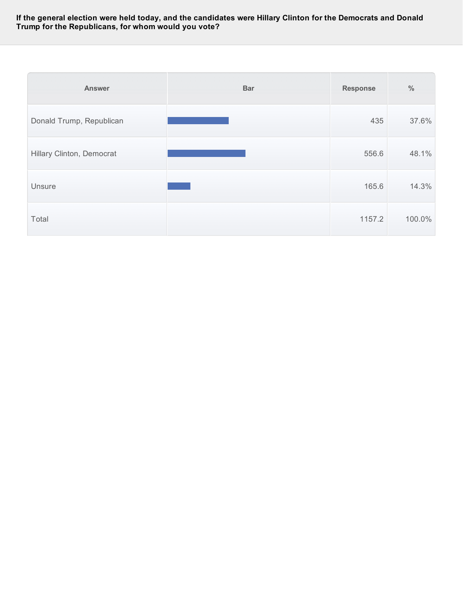#### If the general election were held today, and the candidates were Hillary Clinton for the Democrats and Donald **Trump for the Republicans, for whom would you vote?**

| <b>Answer</b>             | <b>Bar</b> | <b>Response</b> | $\frac{0}{0}$ |
|---------------------------|------------|-----------------|---------------|
| Donald Trump, Republican  |            | 435             | 37.6%         |
| Hillary Clinton, Democrat |            | 556.6           | 48.1%         |
| Unsure                    |            | 165.6           | 14.3%         |
| Total                     |            | 1157.2          | 100.0%        |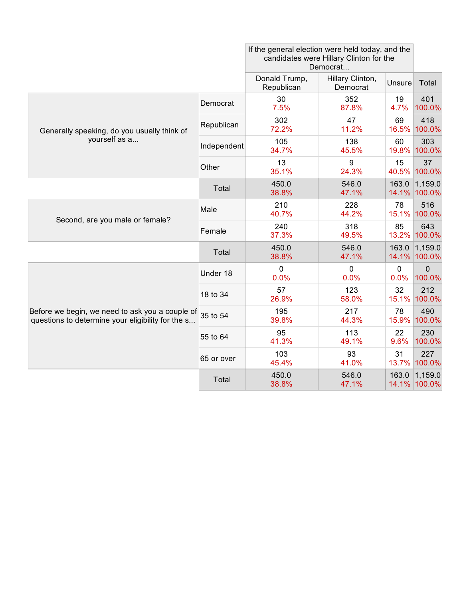|                                                                                                      |             | If the general election were held today, and the<br>candidates were Hillary Clinton for the<br>Democrat |                              |                     |                         |
|------------------------------------------------------------------------------------------------------|-------------|---------------------------------------------------------------------------------------------------------|------------------------------|---------------------|-------------------------|
|                                                                                                      |             | Donald Trump,<br>Republican                                                                             | Hillary Clinton,<br>Democrat | Unsure              | Total                   |
|                                                                                                      | Democrat    | 30<br>7.5%                                                                                              | 352<br>87.8%                 | 19<br>4.7%          | 401<br>100.0%           |
| Generally speaking, do you usually think of<br>yourself as a                                         | Republican  | 302<br>72.2%                                                                                            | 47<br>11.2%                  | 69<br>16.5%         | 418<br>100.0%           |
|                                                                                                      | Independent | 105<br>34.7%                                                                                            | 138<br>45.5%                 | 60<br>19.8%         | 303<br>100.0%           |
|                                                                                                      | Other       | 13<br>35.1%                                                                                             | 9<br>24.3%                   | 15<br>40.5%         | 37<br>100.0%            |
|                                                                                                      | Total       | 450.0<br>38.8%                                                                                          | 546.0<br>47.1%               | 163.0               | 1,159.0<br>14.1% 100.0% |
|                                                                                                      | Male        | 210<br>40.7%                                                                                            | 228<br>44.2%                 | 78<br>15.1%         | 516<br>100.0%           |
| Second, are you male or female?                                                                      | Female      | 240<br>37.3%                                                                                            | 318<br>49.5%                 | 85<br>13.2%         | 643<br>100.0%           |
|                                                                                                      | Total       | 450.0<br>38.8%                                                                                          | 546.0<br>47.1%               | 163.0               | 1,159.0<br>14.1% 100.0% |
|                                                                                                      | Under 18    | 0<br>0.0%                                                                                               | $\mathbf 0$<br>0.0%          | $\mathbf 0$<br>0.0% | $\Omega$<br>100.0%      |
|                                                                                                      | 18 to 34    | 57<br>26.9%                                                                                             | 123<br>58.0%                 | 32<br>15.1%         | 212<br>100.0%           |
| Before we begin, we need to ask you a couple of<br>questions to determine your eligibility for the s | 35 to 54    | 195<br>39.8%                                                                                            | 217<br>44.3%                 | 78<br>15.9%         | 490<br>100.0%           |
|                                                                                                      | 55 to 64    | 95<br>41.3%                                                                                             | 113<br>49.1%                 | 22<br>9.6%          | 230<br>100.0%           |
|                                                                                                      | 65 or over  | 103<br>45.4%                                                                                            | 93<br>41.0%                  | 31<br>13.7%         | 227<br>100.0%           |
|                                                                                                      | Total       | 450.0<br>38.8%                                                                                          | 546.0<br>47.1%               | 163.0               | 1,159.0<br>14.1% 100.0% |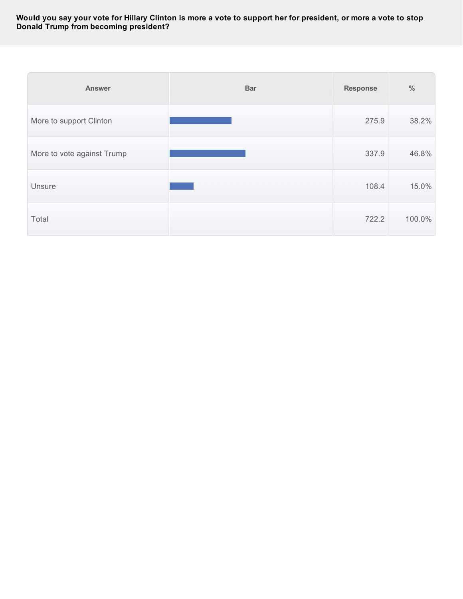#### Would you say your vote for Hillary Clinton is more a vote to support her for president, or more a vote to stop **Donald Trump from becoming president?**

| <b>Answer</b>              | <b>Bar</b> | <b>Response</b> | $\%$   |
|----------------------------|------------|-----------------|--------|
| More to support Clinton    |            | 275.9           | 38.2%  |
| More to vote against Trump |            | 337.9           | 46.8%  |
| Unsure                     |            | 108.4           | 15.0%  |
| Total                      |            | 722.2           | 100.0% |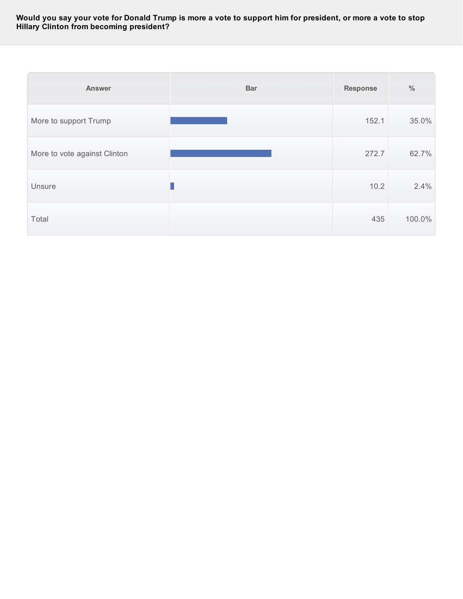#### Would you say your vote for Donald Trump is more a vote to support him for president, or more a vote to stop **Hillary Clinton from becoming president?**

| <b>Answer</b>                | <b>Bar</b> | <b>Response</b> | $\frac{0}{0}$ |
|------------------------------|------------|-----------------|---------------|
| More to support Trump        |            | 152.1           | 35.0%         |
| More to vote against Clinton |            | 272.7           | 62.7%         |
| Unsure                       |            | 10.2            | 2.4%          |
| Total                        |            | 435             | 100.0%        |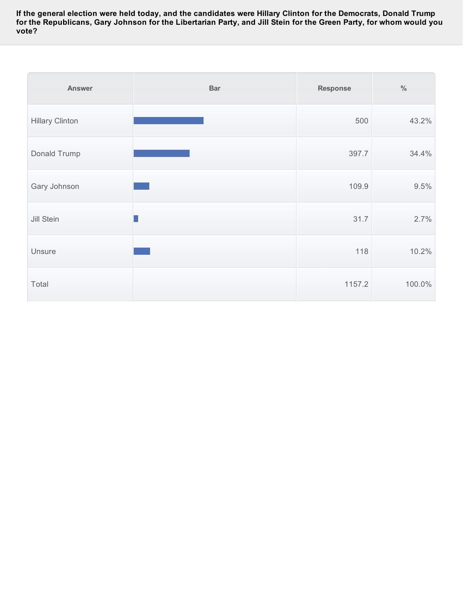If the general election were held today, and the candidates were Hillary Clinton for the Democrats, Donald Trump for the Republicans, Gary Johnson for the Libertarian Party, and Jill Stein for the Green Party, for whom would you **vote?**

| <b>Answer</b>          | <b>Bar</b> | <b>Response</b> | $\%$   |
|------------------------|------------|-----------------|--------|
| <b>Hillary Clinton</b> |            | 500             | 43.2%  |
| Donald Trump           |            | 397.7           | 34.4%  |
| Gary Johnson           |            | 109.9           | 9.5%   |
| Jill Stein             |            | 31.7            | 2.7%   |
| Unsure                 |            | 118             | 10.2%  |
| Total                  |            | 1157.2          | 100.0% |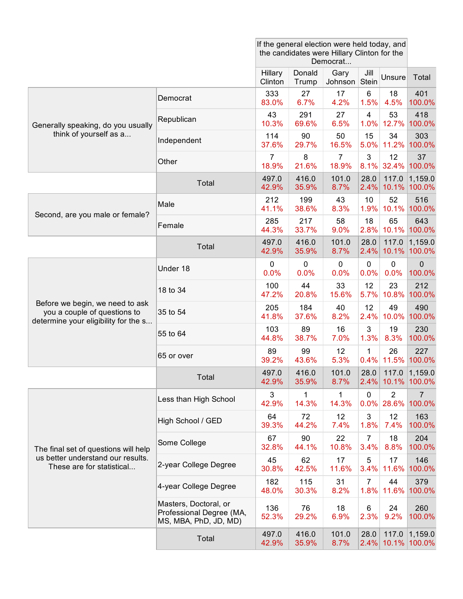|                                                                 |                                                                            | If the general election were held today, and<br>the candidates were Hillary Clinton for the<br>Democrat |                 |                         |                        |                                 |                              |
|-----------------------------------------------------------------|----------------------------------------------------------------------------|---------------------------------------------------------------------------------------------------------|-----------------|-------------------------|------------------------|---------------------------------|------------------------------|
|                                                                 |                                                                            | Hillary<br>Clinton                                                                                      | Donald<br>Trump | Gary<br>Johnson Stein   | Jill                   | Unsure                          | Total                        |
|                                                                 | Democrat                                                                   | 333<br>83.0%                                                                                            | 27<br>6.7%      | 17<br>4.2%              | 6<br>1.5%              | 18<br>4.5%                      | 401<br>100.0%                |
| Generally speaking, do you usually                              | Republican                                                                 | 43<br>10.3%                                                                                             | 291<br>69.6%    | 27<br>6.5%              | $\overline{4}$         | 53<br>1.0% 12.7%                | 418<br>100.0%                |
| think of yourself as a                                          | Independent                                                                | 114<br>37.6%                                                                                            | 90<br>29.7%     | 50<br>16.5%             | 15<br>5.0%             | 34<br>11.2%                     | 303<br>100.0%                |
|                                                                 | Other                                                                      | 7<br>18.9%                                                                                              | 8<br>21.6%      | $\overline{7}$<br>18.9% | 3<br>8.1%              | 12<br>32.4%                     | 37<br>100.0%                 |
|                                                                 | Total                                                                      | 497.0<br>42.9%                                                                                          | 416.0<br>35.9%  | 101.0<br>8.7%           | 28.0<br>2.4%           | 117.0<br>10.1%                  | 1,159.0<br>$ 100.0\%$        |
|                                                                 | Male                                                                       | 212<br>41.1%                                                                                            | 199<br>38.6%    | 43<br>8.3%              | 10<br>1.9%             | 52<br>10.1%                     | 516<br>100.0%                |
| Second, are you male or female?                                 | Female                                                                     | 285<br>44.3%                                                                                            | 217<br>33.7%    | 58<br>9.0%              | 18<br>2.8%             | 65<br>10.1%                     | 643<br>100.0%                |
|                                                                 | Total                                                                      | 497.0<br>42.9%                                                                                          | 416.0<br>35.9%  | 101.0<br>8.7%           | 28.0<br>2.4%           | 117.0<br>10.1%                  | 1,159.0<br>$ 100.0\%$        |
|                                                                 | Under 18                                                                   | 0<br>0.0%                                                                                               | 0<br>0.0%       | 0<br>0.0%               | $\mathbf 0$<br>0.0%    | $\mathbf 0$<br>0.0%             | $\Omega$<br>100.0%           |
|                                                                 | 18 to 34                                                                   | 100<br>47.2%                                                                                            | 44<br>20.8%     | 33<br>15.6%             | 12<br>5.7%             | 23<br>10.8%                     | 212<br>100.0%                |
| Before we begin, we need to ask<br>you a couple of questions to | 35 to 54                                                                   | 205<br>41.8%                                                                                            | 184<br>37.6%    | 40<br>8.2%              | 12<br>2.4%             | 49<br>10.0%                     | 490<br>100.0%                |
| determine your eligibility for the s                            | 55 to 64                                                                   | 103<br>44.8%                                                                                            | 89<br>38.7%     | 16<br>7.0%              | 3<br>1.3%              | 19<br>8.3%                      | 230<br>100.0%                |
|                                                                 | 65 or over                                                                 | 89<br>39.2%                                                                                             | 99<br>43.6%     | 12<br>5.3%              | $\mathbf{1}$<br>0.4%   | 26<br>11.5%                     | 227<br>100.0%                |
|                                                                 | Total                                                                      | 497.0<br>42.9%                                                                                          | 416.0<br>35.9%  | 101.0<br>8.7%           | 28.0                   | 117.0                           | 1,159.0<br>2.4% 10.1% 100.0% |
|                                                                 | Less than High School                                                      | 3<br>42.9%                                                                                              | 1<br>14.3%      | 1<br>14.3%              | $\mathbf 0$            | $\overline{2}$<br>$0.0\%$ 28.6% | 7<br>100.0%                  |
|                                                                 | High School / GED                                                          | 64<br>39.3%                                                                                             | 72<br>44.2%     | 12<br>7.4%              | 3<br>1.8%              | 12<br>7.4%                      | 163<br>100.0%                |
| The final set of questions will help                            | Some College                                                               | 67<br>32.8%                                                                                             | 90<br>44.1%     | 22<br>10.8%             | $\overline{7}$<br>3.4% | 18<br>8.8%                      | 204<br>100.0%                |
| us better understand our results.<br>These are for statistical  | 2-year College Degree                                                      | 45<br>30.8%                                                                                             | 62<br>42.5%     | 17<br>11.6%             | 5<br>3.4%              | 17<br>11.6%                     | 146<br>100.0%                |
|                                                                 | 4-year College Degree                                                      | 182<br>48.0%                                                                                            | 115<br>30.3%    | 31<br>8.2%              | 7                      | 44<br>1.8% 11.6%                | 379<br>100.0%                |
|                                                                 | Masters, Doctoral, or<br>Professional Degree (MA,<br>MS, MBA, PhD, JD, MD) | 136<br>52.3%                                                                                            | 76<br>29.2%     | 18<br>6.9%              | 6<br>2.3%              | 24<br>9.2%                      | 260<br>100.0%                |
|                                                                 | Total                                                                      | 497.0<br>42.9%                                                                                          | 416.0<br>35.9%  | 101.0<br>8.7%           | 28.0<br>2.4%           | 117.0<br>10.1%                  | 1,159.0<br>100.0%            |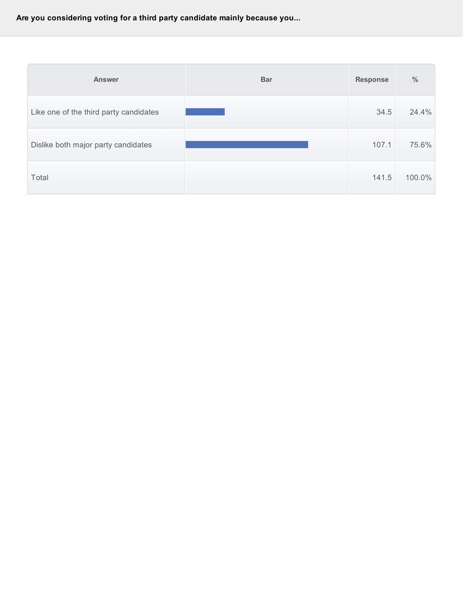**Are you considering voting for a third party candidate mainly because you...**

| <b>Answer</b>                          | <b>Bar</b> | <b>Response</b> | $\%$   |
|----------------------------------------|------------|-----------------|--------|
| Like one of the third party candidates |            | 34.5            | 24.4%  |
| Dislike both major party candidates    |            | 107.1           | 75.6%  |
| Total                                  |            | 141.5           | 100.0% |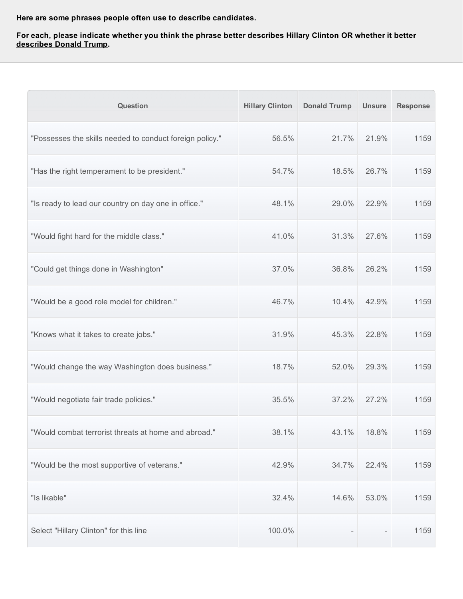**Here are some phrases people often use to describe candidates.**

### For each, please indicate whether you think the phrase <u>better describes Hillary Clinton</u> OR whether it <u>better</u> **describes Donald Trump.**

| <b>Question</b>                                          | <b>Hillary Clinton</b> | <b>Donald Trump</b> | <b>Unsure</b> | <b>Response</b> |
|----------------------------------------------------------|------------------------|---------------------|---------------|-----------------|
| "Possesses the skills needed to conduct foreign policy." | 56.5%                  | 21.7%               | 21.9%         | 1159            |
| "Has the right temperament to be president."             | 54.7%                  | 18.5%               | 26.7%         | 1159            |
| "Is ready to lead our country on day one in office."     | 48.1%                  | 29.0%               | 22.9%         | 1159            |
| "Would fight hard for the middle class."                 | 41.0%                  | 31.3%               | 27.6%         | 1159            |
| "Could get things done in Washington"                    | 37.0%                  | 36.8%               | 26.2%         | 1159            |
| "Would be a good role model for children."               | 46.7%                  | 10.4%               | 42.9%         | 1159            |
| "Knows what it takes to create jobs."                    | 31.9%                  | 45.3%               | 22.8%         | 1159            |
| "Would change the way Washington does business."         | 18.7%                  | 52.0%               | 29.3%         | 1159            |
| "Would negotiate fair trade policies."                   | 35.5%                  | 37.2%               | 27.2%         | 1159            |
| "Would combat terrorist threats at home and abroad."     | 38.1%                  | 43.1%               | 18.8%         | 1159            |
| "Would be the most supportive of veterans."              | 42.9%                  | 34.7%               | 22.4%         | 1159            |
| "Is likable"                                             | 32.4%                  | 14.6%               | 53.0%         | 1159            |
| Select "Hillary Clinton" for this line                   | 100.0%                 |                     |               | 1159            |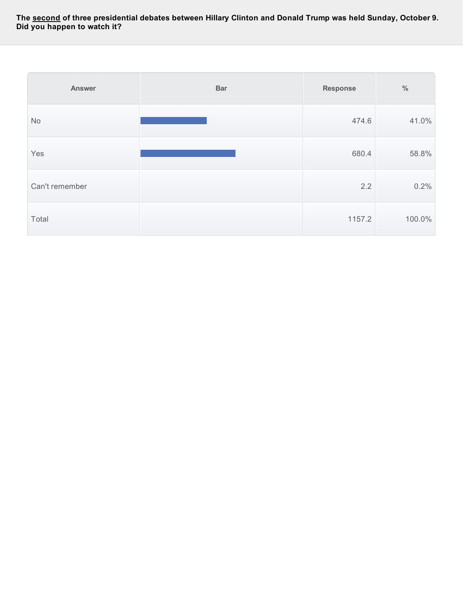The <u>second</u> of three presidential debates between Hillary Clinton and Donald Trump was held Sunday, October 9. **Did you happen to watch it?**

| Answer         | <b>Bar</b> | <b>Response</b> | $\%$   |
|----------------|------------|-----------------|--------|
| No             |            | 474.6           | 41.0%  |
| Yes            |            | 680.4           | 58.8%  |
| Can't remember |            | 2.2             | 0.2%   |
| Total          |            | 1157.2          | 100.0% |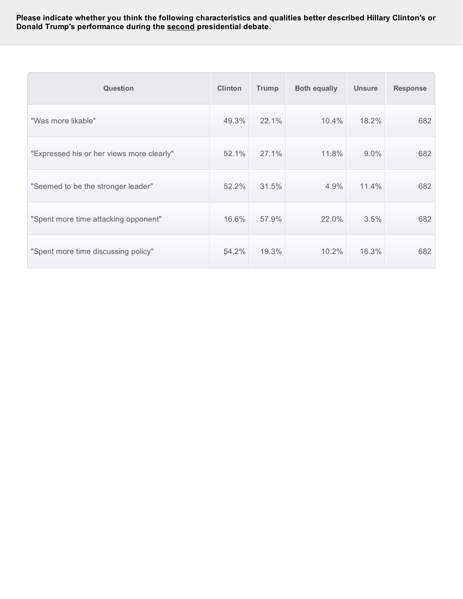**Please indicate whether you think the following characteristics and qualities better described Hillary Clinton's or Donald Trump's performance during the second presidential debate.**

| <b>Question</b>                           | <b>Clinton</b> | <b>Trump</b> | <b>Both equally</b> | <b>Unsure</b> | <b>Response</b> |
|-------------------------------------------|----------------|--------------|---------------------|---------------|-----------------|
| "Was more likable"                        | 49.3%          | 22.1%        | 10.4%               | 18.2%         | 682             |
| "Expressed his or her views more clearly" | 52.1%          | 27.1%        | 11.8%               | 9.0%          | 682             |
| "Seemed to be the stronger leader"        | 52.2%          | 31.5%        | 4.9%                | 11.4%         | 682             |
| "Spent more time attacking opponent"      | 16.6%          | 57.9%        | 22.0%               | 3.5%          | 682             |
| "Spent more time discussing policy"       | 54.2%          | 19.3%        | 10.2%               | 16.3%         | 682             |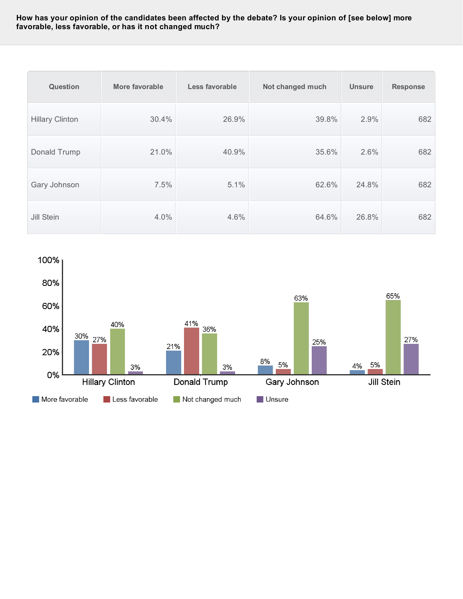## How has your opinion of the candidates been affected by the debate? Is your opinion of [see below] more **favorable, less favorable, or has it not changed much?**

| Question               | More favorable | Less favorable | Not changed much | <b>Unsure</b> | <b>Response</b> |
|------------------------|----------------|----------------|------------------|---------------|-----------------|
| <b>Hillary Clinton</b> | 30.4%          | 26.9%          | 39.8%            | 2.9%          | 682             |
| Donald Trump           | 21.0%          | 40.9%          | 35.6%            | 2.6%          | 682             |
| Gary Johnson           | 7.5%           | 5.1%           | 62.6%            | 24.8%         | 682             |
| Jill Stein             | 4.0%           | 4.6%           | 64.6%            | 26.8%         | 682             |

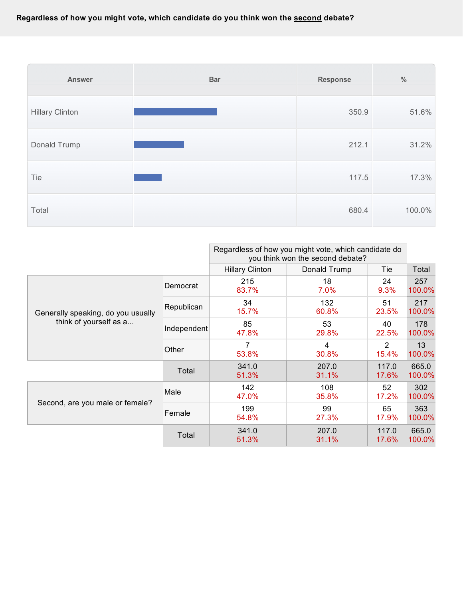

|                                    |             | Regardless of how you might vote, which candidate do<br>you think won the second debate? |                |                |                 |
|------------------------------------|-------------|------------------------------------------------------------------------------------------|----------------|----------------|-----------------|
|                                    |             | <b>Hillary Clinton</b>                                                                   | Donald Trump   | Tie            | Total           |
|                                    | Democrat    | 215<br>83.7%                                                                             | 18<br>$7.0\%$  | 24<br>9.3%     | 257<br>100.0%   |
| Generally speaking, do you usually | Republican  | 34<br>15.7%                                                                              | 132<br>60.8%   | 51<br>23.5%    | 217<br>100.0%   |
| think of yourself as a             | Independent | 85<br>47.8%                                                                              | 53<br>29.8%    | 40<br>22.5%    | 178<br>100.0%   |
|                                    | Other       | 7<br>53.8%                                                                               | 4<br>30.8%     | 2<br>15.4%     | 13<br>100.0%    |
|                                    | Total       | 341.0<br>51.3%                                                                           | 207.0<br>31.1% | 117.0<br>17.6% | 665.0<br>100.0% |
| Second, are you male or female?    | Male        | 142<br>47.0%                                                                             | 108<br>35.8%   | 52<br>17.2%    | 302<br>100.0%   |
|                                    | Female      | 199<br>54.8%                                                                             | 99<br>27.3%    | 65<br>17.9%    | 363<br>100.0%   |
|                                    | Total       | 341.0<br>51.3%                                                                           | 207.0<br>31.1% | 117.0<br>17.6% | 665.0<br>100.0% |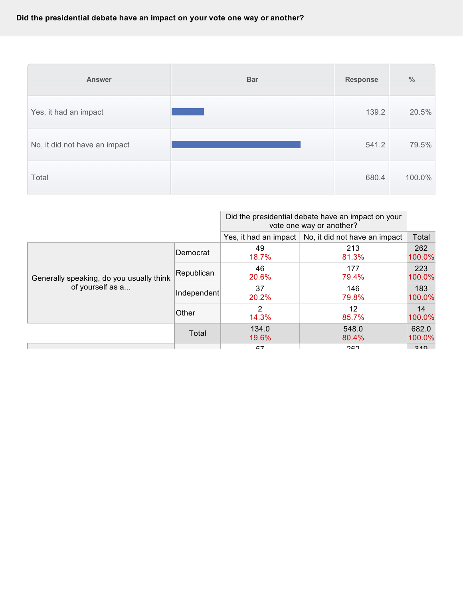| <b>Answer</b>                 | <b>Bar</b> | <b>Response</b> | $\frac{0}{0}$ |
|-------------------------------|------------|-----------------|---------------|
| Yes, it had an impact         |            | 139.2           | 20.5%         |
| No, it did not have an impact |            | 541.2           | 79.5%         |
| Total                         |            | 680.4           | 100.0%        |

|                                                              |             | Did the presidential debate have an impact on your<br>vote one way or another? |                                                       |                 |
|--------------------------------------------------------------|-------------|--------------------------------------------------------------------------------|-------------------------------------------------------|-----------------|
|                                                              |             |                                                                                | Yes, it had an impact   No, it did not have an impact | Total           |
| Generally speaking, do you usually think<br>of yourself as a | Democrat    | 49<br>18.7%                                                                    | 213<br>81.3%                                          | 262<br>100.0%   |
|                                                              | Republican  | 46<br>20.6%                                                                    | 177<br>79.4%                                          | 223<br>100.0%   |
|                                                              | Independent | 37<br>20.2%                                                                    | 146<br>79.8%                                          | 183<br>100.0%   |
|                                                              | Other       | 2<br>14.3%                                                                     | 12<br>85.7%                                           | 14<br>100.0%    |
|                                                              | Total       | 134.0<br>19.6%                                                                 | 548.0<br>80.4%                                        | 682.0<br>100.0% |
|                                                              |             | E7                                                                             | 200                                                   | 010             |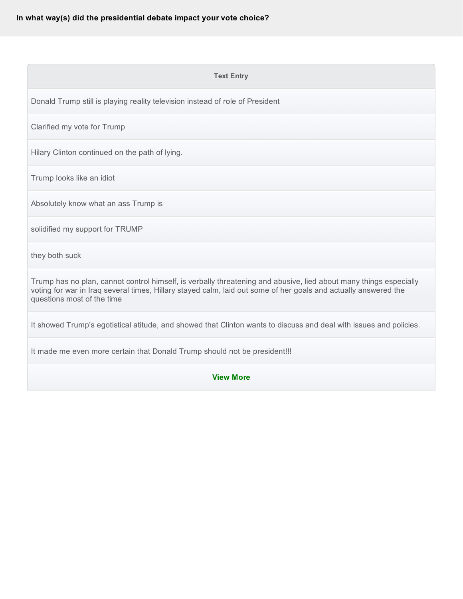#### **Text Entry**

Donald Trump still is playing reality television instead of role of President

Clarified my vote for Trump

Hilary Clinton continued on the path of lying.

Trump looks like an idiot

Absolutely know what an ass Trump is

solidified my support for TRUMP

they both suck

Trump has no plan, cannot control himself, is verbally threatening and abusive, lied about many things especially voting for war in Iraq several times, Hillary stayed calm, laid out some of her goals and actually answered the questions most of the time

It showed Trump's egotistical atitude, and showed that Clinton wants to discuss and deal with issues and policies.

It made me even more certain that Donald Trump should not be president!!!

**View More**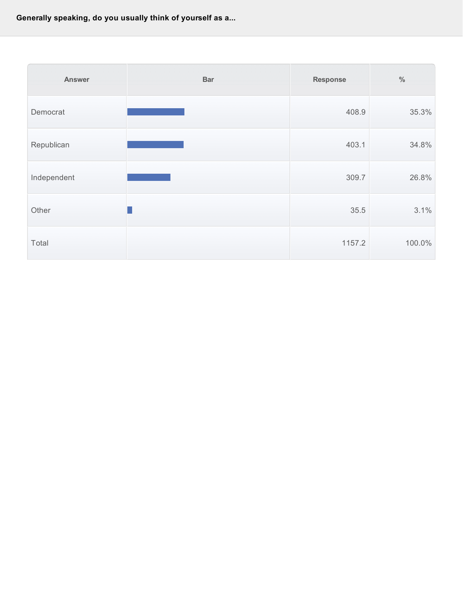**Generally speaking, do you usually think of yourself as a...**

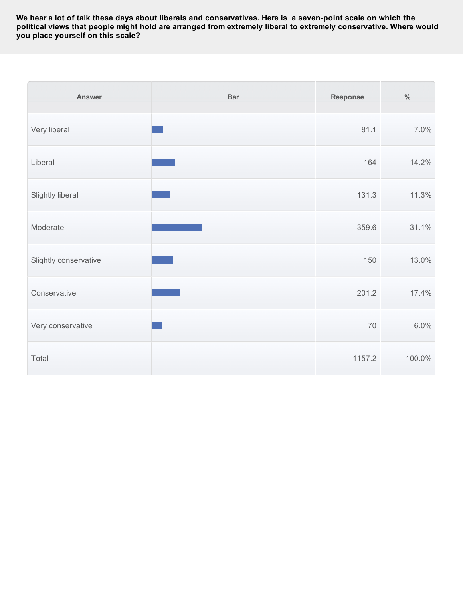We hear a lot of talk these days about liberals and conservatives. Here is a seven-point scale on which the political views that people might hold are arranged from extremely liberal to extremely conservative. Where would **you place yourself on this scale?**

| <b>Answer</b>         | <b>Bar</b> | <b>Response</b> | $\%$   |
|-----------------------|------------|-----------------|--------|
| Very liberal          |            | 81.1            | 7.0%   |
| Liberal               |            | 164             | 14.2%  |
| Slightly liberal      |            | 131.3           | 11.3%  |
| Moderate              |            | 359.6           | 31.1%  |
| Slightly conservative |            | 150             | 13.0%  |
| Conservative          |            | 201.2           | 17.4%  |
| Very conservative     |            | 70              | 6.0%   |
| Total                 |            | 1157.2          | 100.0% |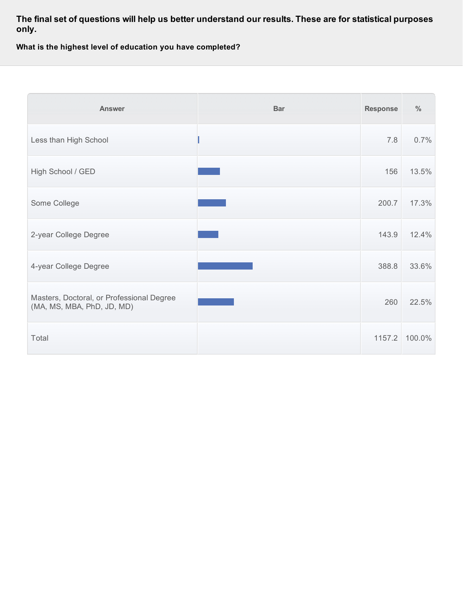**The final set of questions will help us better understand our results. These are for statistical purposes only.**

**What is the highest level of education you have completed?**

| <b>Answer</b>                                                           | <b>Bar</b> | <b>Response</b> | $\frac{0}{0}$ |
|-------------------------------------------------------------------------|------------|-----------------|---------------|
| Less than High School                                                   |            | 7.8             | 0.7%          |
| High School / GED                                                       |            | 156             | 13.5%         |
| Some College                                                            |            | 200.7           | 17.3%         |
| 2-year College Degree                                                   |            | 143.9           | 12.4%         |
| 4-year College Degree                                                   |            | 388.8           | 33.6%         |
| Masters, Doctoral, or Professional Degree<br>(MA, MS, MBA, PhD, JD, MD) |            | 260             | 22.5%         |
| Total                                                                   |            | 1157.2          | 100.0%        |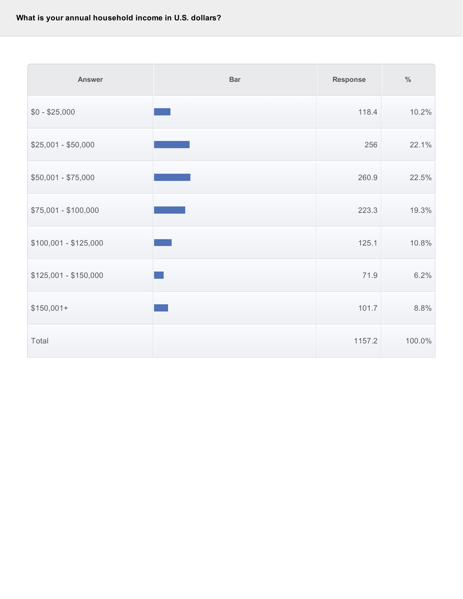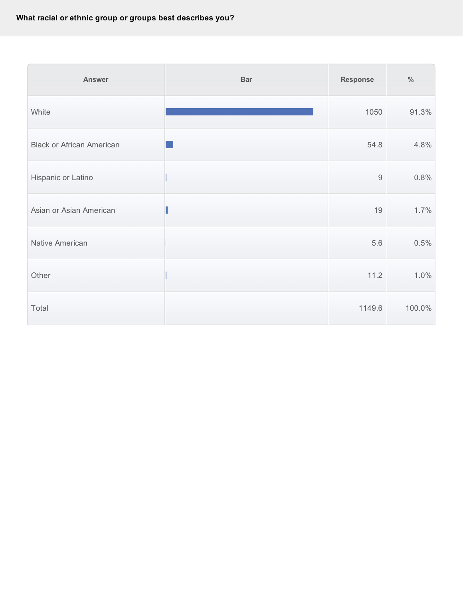| <b>Answer</b>                    | <b>Bar</b> | <b>Response</b>  | $\%$   |
|----------------------------------|------------|------------------|--------|
| White                            |            | 1050             | 91.3%  |
| <b>Black or African American</b> |            | 54.8             | 4.8%   |
| Hispanic or Latino               |            | $\boldsymbol{9}$ | 0.8%   |
| Asian or Asian American          |            | 19               | 1.7%   |
| Native American                  |            | 5.6              | 0.5%   |
| Other                            |            | 11.2             | 1.0%   |
| Total                            |            | 1149.6           | 100.0% |